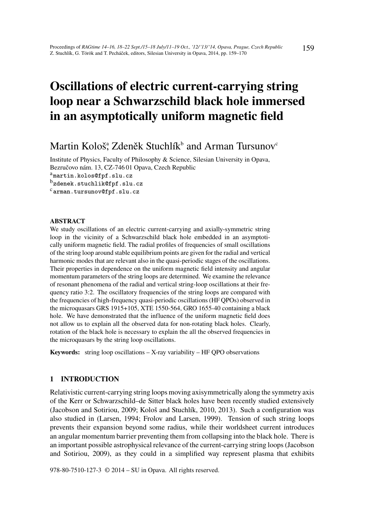# Oscillations of electric current-carrying string loop near a Schwarzschild black hole immersed in an asymptotically uniform magnetic field

# Martin Kološ<sup>a</sup>, Zdeněk Stuchlík $^{\rm b}$  and Arman Tursunov $^{\rm c}$

Institute of Physics, Faculty of Philosophy & Science, Silesian University in Opava, Bezručovo nám. 13, CZ-746 01 Opava, Czech Republic amartin.kolos@fpf.slu.cz <sup>b</sup>zdenek.stuchlik@fpf.slu.cz carman.tursunov@fpf.slu.cz

#### ABSTRACT

We study oscillations of an electric current-carrying and axially-symmetric string loop in the vicinity of a Schwarzschild black hole embedded in an asymptotically uniform magnetic field. The radial profiles of frequencies of small oscillations of the string loop around stable equilibrium points are given for the radial and vertical harmonic modes that are relevant also in the quasi-periodic stages of the oscillations. Their properties in dependence on the uniform magnetic field intensity and angular momentum parameters of the string loops are determined. We examine the relevance of resonant phenomena of the radial and vertical string-loop oscillations at their frequency ratio 3:2. The oscillatory frequencies of the string loops are compared with the frequencies of high-frequency quasi-periodic oscillations (HF QPOs) observed in the microquasars GRS 1915+105, XTE 1550-564, GRO 1655-40 containing a black hole. We have demonstrated that the influence of the uniform magnetic field does not allow us to explain all the observed data for non-rotating black holes. Clearly, rotation of the black hole is necessary to explain the all the observed frequencies in the microquasars by the string loop oscillations.

Keywords: string loop oscillations – X-ray variability – HF QPO observations

# 1 INTRODUCTION

Relativistic current-carrying string loops moving axisymmetrically along the symmetry axis of the Kerr or Schwarzschild–de Sitter black holes have been recently studied extensively (Jacobson and Sotiriou, 2009; Kološ and Stuchlík, 2010, 2013). Such a configuration was also studied in (Larsen, 1994; Frolov and Larsen, 1999). Tension of such string loops prevents their expansion beyond some radius, while their worldsheet current introduces an angular momentum barrier preventing them from collapsing into the black hole. There is an important possible astrophysical relevance of the current-carrying string loops (Jacobson and Sotiriou, 2009), as they could in a simplified way represent plasma that exhibits

978-80-7510-127-3 © 2014 – SU in Opava. All rights reserved.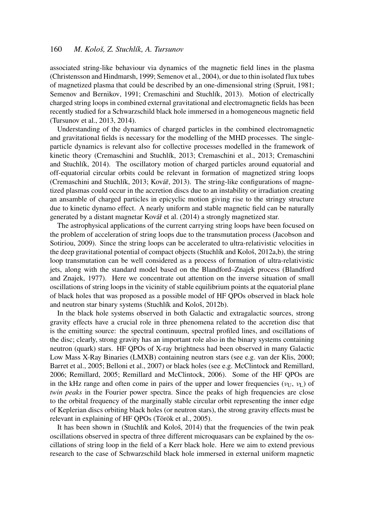associated string-like behaviour via dynamics of the magnetic field lines in the plasma (Christensson and Hindmarsh, 1999; Semenov et al., 2004), or due to thin isolated flux tubes of magnetized plasma that could be described by an one-dimensional string (Spruit, 1981; Semenov and Bernikov, 1991; Cremaschini and Stuchlík, 2013). Motion of electrically charged string loops in combined external gravitational and electromagnetic fields has been recently studied for a Schwarzschild black hole immersed in a homogeneous magnetic field (Tursunov et al., 2013, 2014).

Understanding of the dynamics of charged particles in the combined electromagnetic and gravitational fields is necessary for the modelling of the MHD processes. The singleparticle dynamics is relevant also for collective processes modelled in the framework of kinetic theory (Cremaschini and Stuchlík, 2013; Cremaschini et al., 2013; Cremaschini and Stuchlík, 2014). The oscillatory motion of charged particles around equatorial and off-equatorial circular orbits could be relevant in formation of magnetized string loops (Cremaschini and Stuchlík, 2013; Kovář, 2013). The string-like configurations of magnetized plasmas could occur in the accretion discs due to an instability or irradiation creating an ansamble of charged particles in epicyclic motion giving rise to the stringy structure due to kinetic dynamo effect. A nearly uniform and stable magnetic field can be naturally generated by a distant magnetar Kovář et al. (2014) a strongly magnetized star.

The astrophysical applications of the current carrying string loops have been focused on the problem of acceleration of string loops due to the transmutation process (Jacobson and Sotiriou, 2009). Since the string loops can be accelerated to ultra-relativistic velocities in the deep gravitational potential of compact objects (Stuchlík and Kološ, 2012a,b), the string loop transmutation can be well considered as a process of formation of ultra-relativistic jets, along with the standard model based on the Blandford–Znajek process (Blandford and Znajek, 1977). Here we concentrate out attention on the inverse situation of small oscillations of string loops in the vicinity of stable equilibrium points at the equatorial plane of black holes that was proposed as a possible model of HF QPOs observed in black hole and neutron star binary systems (Stuchlík and Kološ, 2012b).

In the black hole systems observed in both Galactic and extragalactic sources, strong gravity effects have a crucial role in three phenomena related to the accretion disc that is the emitting source: the spectral continuum, spectral profiled lines, and oscillations of the disc; clearly, strong gravity has an important role also in the binary systems containing neutron (quark) stars. HF QPOs of X-ray brightness had been observed in many Galactic Low Mass X-Ray Binaries (LMXB) containing neutron stars (see e.g. van der Klis, 2000; Barret et al., 2005; Belloni et al., 2007) or black holes (see e.g. McClintock and Remillard, 2006; Remillard, 2005; Remillard and McClintock, 2006). Some of the HF QPOs are in the kHz range and often come in pairs of the upper and lower frequencies ( $v_{U}$ ,  $v_{L}$ ) of *twin peaks* in the Fourier power spectra. Since the peaks of high frequencies are close to the orbital frequency of the marginally stable circular orbit representing the inner edge of Keplerian discs orbiting black holes (or neutron stars), the strong gravity effects must be relevant in explaining of HF QPOs (Török et al., 2005).

It has been shown in (Stuchlík and Kološ, 2014) that the frequencies of the twin peak oscillations observed in spectra of three different microquasars can be explained by the oscillations of string loop in the field of a Kerr black hole. Here we aim to extend previous research to the case of Schwarzschild black hole immersed in external uniform magnetic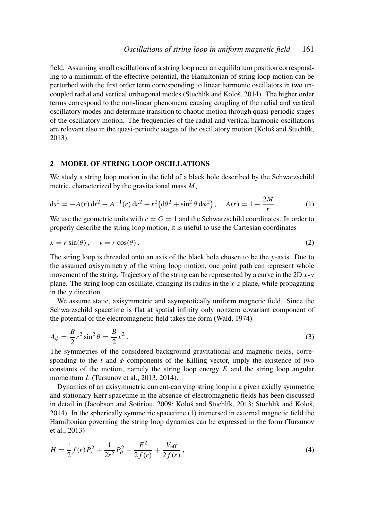field. Assuming small oscillations of a string loop near an equilibrium position corresponding to a minimum of the effective potential, the Hamiltonian of string loop motion can be perturbed with the first order term corresponding to linear harmonic oscillators in two uncoupled radial and vertical orthogonal modes (Stuchlík and Kološ, 2014). The higher order terms correspond to the non-linear phenomena causing coupling of the radial and vertical oscillatory modes and determine transition to chaotic motion through quasi-periodic stages of the oscillatory motion. The frequencies of the radial and vertical harmonic oscillations are relevant also in the quasi-periodic stages of the oscillatory motion (Kološ and Stuchlík, 2013).

#### 2 MODEL OF STRING LOOP OSCILLATIONS

We study a string loop motion in the field of a black hole described by the Schwarzschild metric, characterized by the gravitational mass *M*,

$$
ds^{2} = -A(r) dt^{2} + A^{-1}(r) dr^{2} + r^{2} (d\theta^{2} + \sin^{2} \theta d\phi^{2}), \quad A(r) = 1 - \frac{2M}{r}.
$$
 (1)

We use the geometric units with  $c = G = 1$  and the Schwarzschild coordinates. In order to properly describe the string loop motion, it is useful to use the Cartesian coordinates

$$
x = r\sin(\theta), \quad y = r\cos(\theta). \tag{2}
$$

The string loop is threaded onto an axis of the black hole chosen to be the *y*-axis. Due to the assumed axisymmetry of the string loop motion, one point path can represent whole movement of the string. Trajectory of the string can be represented by a curve in the 2D *x*-*y* plane. The string loop can oscillate, changing its radius in the *x*-*z* plane, while propagating in the *y* direction.

We assume static, axisymmetric and asymptotically uniform magnetic field. Since the Schwarzschild spacetime is flat at spatial infinity only nonzero covariant component of the potential of the electromagnetic field takes the form (Wald, 1974)

$$
A_{\phi} = \frac{B}{2}r^2 \sin^2 \theta = \frac{B}{2}x^2.
$$
 (3)

The symmetries of the considered background gravitational and magnetic fields, corresponding to the  $t$  and  $\phi$  components of the Killing vector, imply the existence of two constants of the motion, namely the string loop energy *E* and the string loop angular momentum *L* (Tursunov et al., 2013, 2014).

Dynamics of an axisymmetric current-carrying string loop in a given axially symmetric and stationary Kerr spacetime in the absence of electromagnetic fields has been discussed in detail in (Jacobson and Sotiriou, 2009; Kološ and Stuchlík, 2013; Stuchlík and Kološ, 2014). In the spherically symmetric spacetime (1) immersed in external magnetic field the Hamiltonian governing the string loop dynamics can be expressed in the form (Tursunov et al., 2013)

$$
H = \frac{1}{2}f(r)P_r^2 + \frac{1}{2r^2}P_\theta^2 - \frac{E^2}{2f(r)} + \frac{V_{\text{eff}}}{2f(r)},
$$
\n(4)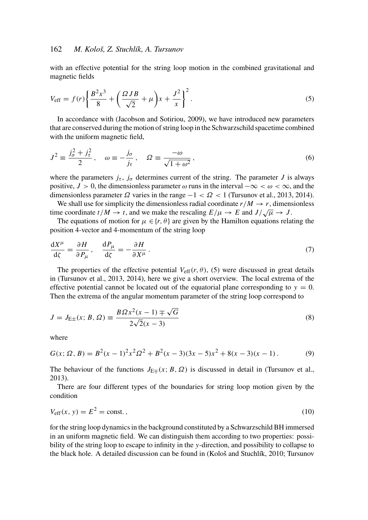with an effective potential for the string loop motion in the combined gravitational and magnetic fields

$$
V_{\text{eff}} = f(r) \left\{ \frac{B^2 x^3}{8} + \left( \frac{\Omega J B}{\sqrt{2}} + \mu \right) x + \frac{J^2}{x} \right\}^2.
$$
 (5)

In accordance with (Jacobson and Sotiriou, 2009), we have introduced new parameters that are conserved during the motion of string loop in the Schwarzschild spacetime combined with the uniform magnetic field,

$$
J^{2} \equiv \frac{j_{\sigma}^{2} + j_{\tau}^{2}}{2}, \quad \omega \equiv -\frac{j_{\sigma}}{j_{\tau}}, \quad \Omega \equiv \frac{-\omega}{\sqrt{1 + \omega^{2}}}, \tag{6}
$$

where the parameters  $j_{\tau}$ ,  $j_{\sigma}$  determines current of the string. The parameter *J* is always positive,  $J > 0$ , the dimensionless parameter  $\omega$  runs in the interval  $-\infty < \omega < \infty$ , and the dimensionless parameter  $\Omega$  varies in the range  $-1 < \Omega < 1$  (Tursunov et al., 2013, 2014).

We shall use for simplicity the dimensionless radial coordinate  $r/M \rightarrow r$ , dimensionless time coordinate  $t/M \to t$ , and we make the rescaling  $E/\mu \to E$  and  $J/\sqrt{\mu} \to J$ .

The equations of motion for  $\mu \in \{r, \theta\}$  are given by the Hamilton equations relating the position 4-vector and 4-momentum of the string loop

$$
\frac{\mathrm{d}X^{\mu}}{\mathrm{d}\zeta} = \frac{\partial H}{\partial P_{\mu}}, \quad \frac{\mathrm{d}P_{\mu}}{\mathrm{d}\zeta} = -\frac{\partial H}{\partial X^{\mu}}.
$$
\n(7)

The properties of the effective potential  $V_{\text{eff}}(r, \theta)$ , (5) were discussed in great details in (Tursunov et al., 2013, 2014), here we give a short overview. The local extrema of the effective potential cannot be located out of the equatorial plane corresponding to  $y = 0$ . Then the extrema of the angular momentum parameter of the string loop correspond to

$$
J = J_{\text{E}\pm}(x; B, \Omega) \equiv \frac{B\Omega x^2(x-1) \mp \sqrt{G}}{2\sqrt{2}(x-3)}
$$
(8)

where

$$
G(x; \Omega, B) = B^2(x-1)^2 x^2 \Omega^2 + B^2(x-3)(3x-5)x^2 + 8(x-3)(x-1).
$$
 (9)

The behaviour of the functions  $J_{E\pm}(x; B, \Omega)$  is discussed in detail in (Tursunov et al., 2013).

There are four different types of the boundaries for string loop motion given by the condition

$$
V_{\text{eff}}(x, y) = E^2 = \text{const.},\tag{10}
$$

for the string loop dynamics in the background constituted by a Schwarzschild BH immersed in an uniform magnetic field. We can distinguish them according to two properties: possibility of the string loop to escape to infinity in the *y*-direction, and possibility to collapse to the black hole. A detailed discussion can be found in (Kološ and Stuchlík, 2010; Tursunov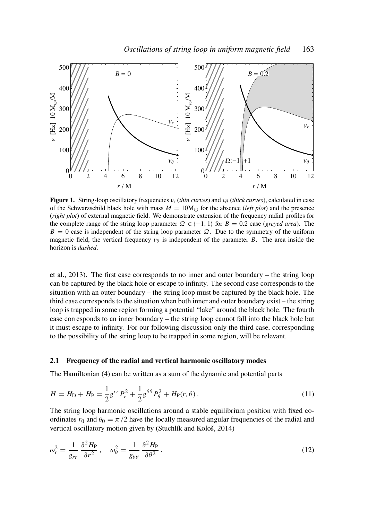

Figure 1. String-loop oscillatory frequencies  $v_r$  (*thin curves*) and  $v_\theta$  (*thick curves*), calculated in case of the Schwarzschild black hole with mass  $M = 10M_{\odot}$  for the absence (*left plot*) and the presence (*right plot*) of external magnetic field. We demonstrate extension of the frequency radial profiles for the complete range of the string loop parameter  $\Omega \in \{-1, 1\}$  for  $B = 0.2$  case (*greyed area*). The  $B = 0$  case is independent of the string loop parameter  $\Omega$ . Due to the symmetry of the uniform magnetic field, the vertical frequency  $v_{\theta}$  is independent of the parameter *B*. The area inside the horizon is *dashed*.

et al., 2013). The first case corresponds to no inner and outer boundary – the string loop can be captured by the black hole or escape to infinity. The second case corresponds to the situation with an outer boundary – the string loop must be captured by the black hole. The third case corresponds to the situation when both inner and outer boundary exist – the string loop is trapped in some region forming a potential "lake" around the black hole. The fourth case corresponds to an inner boundary – the string loop cannot fall into the black hole but it must escape to infinity. For our following discussion only the third case, corresponding to the possibility of the string loop to be trapped in some region, will be relevant.

#### 2.1 Frequency of the radial and vertical harmonic oscillatory modes

The Hamiltonian (4) can be written as a sum of the dynamic and potential parts

$$
H = H_{\rm D} + H_{\rm P} = \frac{1}{2} g^{rr} P_r^2 + \frac{1}{2} g^{\theta \theta} P_{\theta}^2 + H_{\rm P}(r, \theta) \,. \tag{11}
$$

The string loop harmonic oscillations around a stable equilibrium position with fixed coordinates  $r_0$  and  $\theta_0 = \pi/2$  have the locally measured angular frequencies of the radial and vertical oscillatory motion given by (Stuchlík and Kološ, 2014)

$$
\omega_{\rm r}^2 = \frac{1}{g_{rr}} \frac{\partial^2 H_{\rm P}}{\partial r^2} \,, \quad \omega_{\theta}^2 = \frac{1}{g_{\theta\theta}} \frac{\partial^2 H_{\rm P}}{\partial \theta^2} \,. \tag{12}
$$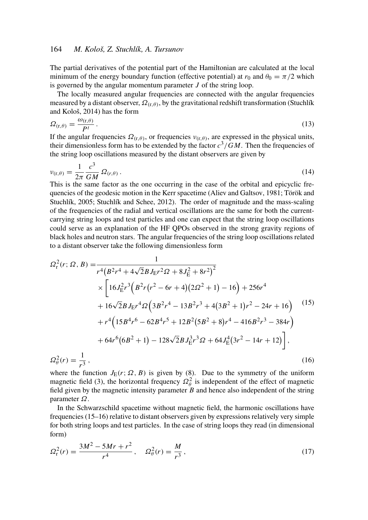The partial derivatives of the potential part of the Hamiltonian are calculated at the local minimum of the energy boundary function (effective potential) at  $r_0$  and  $\theta_0 = \pi/2$  which is governed by the angular momentum parameter *J* of the string loop.

The locally measured angular frequencies are connected with the angular frequencies measured by a distant observer,  $\Omega_{(r,\theta)}$ , by the gravitational redshift transformation (Stuchlík and Kološ, 2014) has the form

$$
\Omega_{(\mathbf{r},\theta)} = \frac{\omega_{(\mathbf{r},\theta)}}{P^t} \,. \tag{13}
$$

If the angular frequencies  $\Omega_{(r,\theta)}$ , or frequencies  $v_{(r,\theta)}$ , are expressed in the physical units, their dimensionless form has to be extended by the factor  $c^3/GM$ . Then the frequencies of the string loop oscillations measured by the distant observers are given by

$$
\nu_{(\mathbf{r},\theta)} = \frac{1}{2\pi} \frac{c^3}{GM} \,\Omega_{(r,\theta)}\,. \tag{14}
$$

This is the same factor as the one occurring in the case of the orbital and epicyclic frequencies of the geodesic motion in the Kerr spacetime (Aliev and Galtsov, 1981; Török and Stuchlík, 2005; Stuchlík and Schee, 2012). The order of magnitude and the mass-scaling of the frequencies of the radial and vertical oscillations are the same for both the currentcarrying string loops and test particles and one can expect that the string loop oscillations could serve as an explanation of the HF QPOs observed in the strong gravity regions of black holes and neutron stars. The angular frequencies of the string loop oscillations related to a distant observer take the following dimensionless form

$$
\Omega_{\rm r}^{2}(r; \Omega, B) = \frac{1}{r^{4}(B^{2}r^{4} + 4\sqrt{2}BJ_{\rm E}r^{2}\Omega + 8J_{\rm E}^{2} + 8r^{2})^{2}}
$$
\n
$$
\times \left[16J_{\rm E}^{2}r^{3}\left(B^{2}r(r^{2} - 6r + 4)(2\Omega^{2} + 1) - 16\right) + 256r^{4} + 16\sqrt{2}BJ_{\rm E}r^{4}\Omega\left(3B^{2}r^{4} - 13B^{2}r^{3} + 4(3B^{2} + 1)r^{2} - 24r + 16\right)\right]^{(15)}
$$
\n
$$
+ r^{4}\left(15B^{4}r^{6} - 62B^{4}r^{5} + 12B^{2}(5B^{2} + 8)r^{4} - 416B^{2}r^{3} - 384r\right)
$$
\n
$$
+ 64r^{6}(6B^{2} + 1) - 128\sqrt{2}BJ_{\rm E}^{3}r^{3}\Omega + 64J_{\rm E}^{4}(3r^{2} - 14r + 12)\right],
$$
\n
$$
\Omega_{\theta}^{2}(r) = \frac{1}{r^{3}},
$$
\n(16)

where the function  $J_E(r; \Omega, B)$  is given by (8). Due to the symmetry of the uniform magnetic field (3), the horizontal frequency  $\Omega_{\theta}^2$  is independent of the effect of magnetic field given by the magnetic intensity parameter *B* and hence also independent of the string parameter Ω.

In the Schwarzschild spacetime without magnetic field, the harmonic oscillations have frequencies (15–16) relative to distant observers given by expressions relatively very simple for both string loops and test particles. In the case of string loops they read (in dimensional form)

$$
\Omega_{\rm r}^2(r) = \frac{3M^2 - 5Mr + r^2}{r^4}, \quad \Omega_{\theta}^2(r) = \frac{M}{r^3},\tag{17}
$$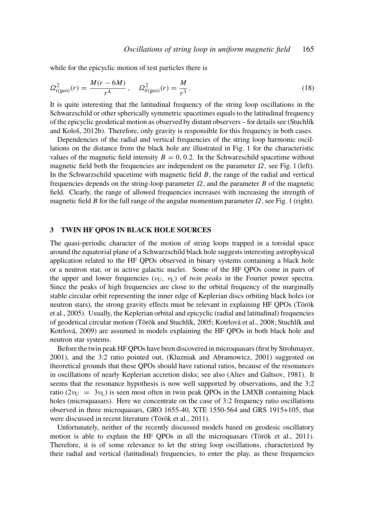while for the epicyclic motion of test particles there is

$$
\Omega_{r(geo)}^2(r) = \frac{M(r - 6M)}{r^4}, \quad \Omega_{\theta(geo)}^2(r) = \frac{M}{r^3}.
$$
\n(18)

It is quite interesting that the latitudinal frequency of the string loop oscillations in the Schwarzschild or other spherically symmetric spacetimes equals to the latitudinal frequency of the epicyclic geodetical motion as observed by distant observers – for details see (Stuchlík and Kološ, 2012b). Therefore, only gravity is responsible for this frequency in both cases.

Dependencies of the radial and vertical frequencies of the string loop harmonic oscillations on the distance from the black hole are illustrated in Fig. 1 for the characteristic values of the magnetic field intensity  $B = 0, 0.2$ . In the Schwarzschild spacetime without magnetic field both the frequencies are independent on the parameter  $\Omega$ , see Fig. 1 (left). In the Schwarzschild spacetime with magnetic field *B*, the range of the radial and vertical frequencies depends on the string-loop parameter  $\Omega$ , and the parameter *B* of the magnetic field. Clearly, the range of allowed frequencies increases with increasing the strength of magnetic field *B* for the full range of the angular momentum parameter  $\Omega$ , see Fig. 1 (right).

#### 3 TWIN HF QPOS IN BLACK HOLE SOURCES

The quasi-periodic character of the motion of string loops trapped in a toroidal space around the equatorial plane of a Schwarzschild black hole suggests interesting astrophysical application related to the HF QPOs observed in binary systems containing a black hole or a neutron star, or in active galactic nuclei. Some of the HF QPOs come in pairs of the upper and lower frequencies ( $v_{\text{U}}$ ,  $v_{\text{U}}$ ) of *twin peaks* in the Fourier power spectra. Since the peaks of high frequencies are close to the orbital frequency of the marginally stable circular orbit representing the inner edge of Keplerian discs orbiting black holes (or neutron stars), the strong gravity effects must be relevant in explaining HF QPOs (Török et al., 2005). Usually, the Keplerian orbital and epicyclic (radial and latitudinal) frequencies of geodetical circular motion (Török and Stuchlík, 2005; Kotrlová et al., 2008; Stuchlík and Kotrlová, 2009) are assumed in models explaining the HF QPOs in both black hole and neutron star systems.

Before the twin peak HF QPOs have been discovered in microquasars (first by Strohmayer, 2001), and the 3:2 ratio pointed out, (Kluzniak and Abramowicz, 2001) suggested on theoretical grounds that these QPOs should have rational ratios, because of the resonances in oscillations of nearly Keplerian accretion disks; see also (Aliev and Galtsov, 1981). It seems that the resonance hypothesis is now well supported by observations, and the 3:2 ratio ( $2v_U = 3v_L$ ) is seen most often in twin peak OPOs in the LMXB containing black holes (microquasars). Here we concentrate on the case of 3:2 frequency ratio oscillations observed in three microquasars, GRO 1655-40, XTE 1550-564 and GRS 1915+105, that were discussed in recent literature (Török et al., 2011).

Unfortunately, neither of the recently discussed models based on geodesic oscillatory motion is able to explain the HF QPOs in all the microquasars (Török et al., 2011). Therefore, it is of some relevance to let the string loop oscillations, characterized by their radial and vertical (latitudinal) frequencies, to enter the play, as these frequencies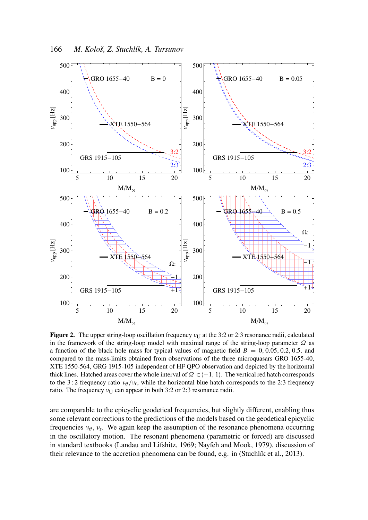

Figure 2. The upper string-loop oscillation frequency  $v_U$  at the 3:2 or 2:3 resonance radii, calculated in the framework of the string-loop model with maximal range of the string-loop parameter  $\Omega$  as a function of the black hole mass for typical values of magnetic field  $B = 0, 0.05, 0.2, 0.5,$  and compared to the mass-limits obtained from observations of the three microquasars GRO 1655-40, XTE 1550-564, GRG 1915-105 independent of HF QPO observation and depicted by the horizontal thick lines. Hatched areas cover the whole interval of  $\Omega \in \{-1, 1\}$ . The vertical red hatch corresponds to the 3:2 frequency ratio  $v_{\theta}/v_{r}$ , while the horizontal blue hatch corresponds to the 2:3 frequency ratio. The frequency  $v_{\text{U}}$  can appear in both 3:2 or 2:3 resonance radii.

are comparable to the epicyclic geodetical frequencies, but slightly different, enabling thus some relevant corrections to the predictions of the models based on the geodetical epicyclic frequencies  $v_{\theta}$ ,  $v_{\text{r}}$ . We again keep the assumption of the resonance phenomena occurring in the oscillatory motion. The resonant phenomena (parametric or forced) are discussed in standard textbooks (Landau and Lifshitz, 1969; Nayfeh and Mook, 1979), discussion of their relevance to the accretion phenomena can be found, e.g. in (Stuchlík et al., 2013).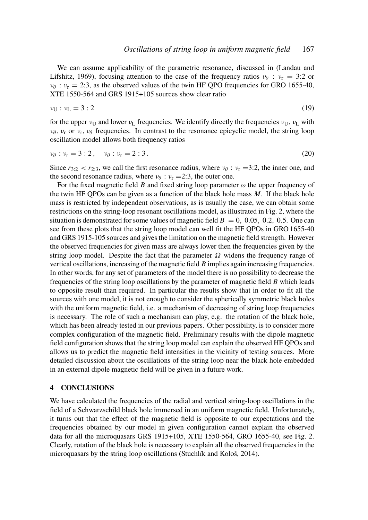We can assume applicability of the parametric resonance, discussed in (Landau and Lifshitz, 1969), focusing attention to the case of the frequency ratios  $v_\theta$ :  $v_r = 3:2$  or  $v_{\theta}$ :  $v_r = 2:3$ , as the observed values of the twin HF QPO frequencies for GRO 1655-40, XTE 1550-564 and GRS 1915+105 sources show clear ratio

$$
\nu_{\mathbf{U}} : \nu_{\mathbf{L}} = 3:2 \tag{19}
$$

for the upper  $v_U$  and lower  $v_L$  frequencies. We identify directly the frequencies  $v_U$ ,  $v_L$  with  $v_{\theta}$ ,  $v_{\rm r}$  or  $v_{\rm r}$ ,  $v_{\theta}$  frequencies. In contrast to the resonance epicyclic model, the string loop oscillation model allows both frequency ratios

$$
\nu_{\theta} : \nu_{r} = 3 : 2, \quad \nu_{\theta} : \nu_{r} = 2 : 3. \tag{20}
$$

Since  $r_{3:2} < r_{2:3}$ , we call the first resonance radius, where  $v_{\theta}$  :  $v_r = 3:2$ , the inner one, and the second resonance radius, where  $\nu_{\theta}$  :  $\nu_{r} = 2:3$ , the outer one.

For the fixed magnetic field *B* and fixed string loop parameter  $\omega$  the upper frequency of the twin HF QPOs can be given as a function of the black hole mass *M*. If the black hole mass is restricted by independent observations, as is usually the case, we can obtain some restrictions on the string-loop resonant oscillations model, as illustrated in Fig. 2, where the situation is demonstrated for some values of magnetic field  $B = 0$ , 0.05, 0.2, 0.5. One can see from these plots that the string loop model can well fit the HF QPOs in GRO 1655-40 and GRS 1915-105 sources and gives the limitation on the magnetic field strength. However the observed frequencies for given mass are always lower then the frequencies given by the string loop model. Despite the fact that the parameter  $\Omega$  widens the frequency range of vertical oscillations, increasing of the magnetic field *B* implies again increasing frequencies. In other words, for any set of parameters of the model there is no possibility to decrease the frequencies of the string loop oscillations by the parameter of magnetic field *B* which leads to opposite result than required. In particular the results show that in order to fit all the sources with one model, it is not enough to consider the spherically symmetric black holes with the uniform magnetic field, i.e. a mechanism of decreasing of string loop frequencies is necessary. The role of such a mechanism can play, e.g. the rotation of the black hole, which has been already tested in our previous papers. Other possibility, is to consider more complex configuration of the magnetic field. Preliminary results with the dipole magnetic field configuration shows that the string loop model can explain the observed HF QPOs and allows us to predict the magnetic field intensities in the vicinity of testing sources. More detailed discussion about the oscillations of the string loop near the black hole embedded in an external dipole magnetic field will be given in a future work.

#### 4 CONCLUSIONS

We have calculated the frequencies of the radial and vertical string-loop oscillations in the field of a Schwarzschild black hole immersed in an uniform magnetic field. Unfortunately, it turns out that the effect of the magnetic field is opposite to our expectations and the frequencies obtained by our model in given configuration cannot explain the observed data for all the microquasars GRS 1915+105, XTE 1550-564, GRO 1655-40, see Fig. 2. Clearly, rotation of the black hole is necessary to explain all the observed frequencies in the microquasars by the string loop oscillations (Stuchlík and Kološ, 2014).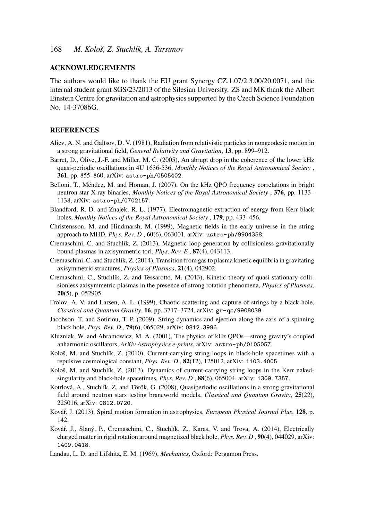#### ACKNOWLEDGEMENTS

The authors would like to thank the EU grant Synergy CZ.1.07/2.3.00/20.0071, and the internal student grant SGS/23/2013 of the Silesian University. ZS and MK thank the Albert Einstein Centre for gravitation and astrophysics supported by the Czech Science Foundation No. 14-37086G.

#### **REFERENCES**

- Aliev, A. N. and Galtsov, D. V. (1981), Radiation from relativistic particles in nongeodesic motion in a strong gravitational field, *General Relativity and Gravitation*, 13, pp. 899–912.
- Barret, D., Olive, J.-F. and Miller, M. C. (2005), An abrupt drop in the coherence of the lower kHz quasi-periodic oscillations in 4U 1636-536, *Monthly Notices of the Royal Astronomical Society* , 361, pp. 855–860, arXiv: astro-ph/0505402.
- Belloni, T., Méndez, M. and Homan, J. (2007), On the kHz QPO frequency correlations in bright neutron star X-ray binaries, *Monthly Notices of the Royal Astronomical Society* , 376, pp. 1133– 1138, arXiv: astro-ph/0702157.
- Blandford, R. D. and Znajek, R. L. (1977), Electromagnetic extraction of energy from Kerr black holes, *Monthly Notices of the Royal Astronomical Society* , 179, pp. 433–456.
- Christensson, M. and Hindmarsh, M. (1999), Magnetic fields in the early universe in the string approach to MHD, *Phys. Rev. D* , 60(6), 063001, arXiv: astro-ph/9904358.
- Cremaschini, C. and Stuchlík, Z. (2013), Magnetic loop generation by collisionless gravitationally bound plasmas in axisymmetric tori, *Phys. Rev. E* , 87(4), 043113.
- Cremaschini, C. and Stuchlík, Z. (2014), Transition from gas to plasma kinetic equilibria in gravitating axisymmetric structures, *Physics of Plasmas*, 21(4), 042902.
- Cremaschini, C., Stuchlík, Z. and Tessarotto, M. (2013), Kinetic theory of quasi-stationary collisionless axisymmetric plasmas in the presence of strong rotation phenomena, *Physics of Plasmas*, 20(5), p. 052905.
- Frolov, A. V. and Larsen, A. L. (1999), Chaotic scattering and capture of strings by a black hole, *Classical and Quantum Gravity*, 16, pp. 3717–3724, arXiv: gr-qc/9908039.
- Jacobson, T. and Sotiriou, T. P. (2009), String dynamics and ejection along the axis of a spinning black hole, *Phys. Rev. D* , 79(6), 065029, arXiv: 0812.3996.
- Kluzniak, W. and Abramowicz, M. A. (2001), The physics of kHz QPOs—strong gravity's coupled anharmonic oscillators, *ArXiv Astrophysics e-prints*, arXiv: astro-ph/0105057.
- Kološ, M. and Stuchlík, Z. (2010), Current-carrying string loops in black-hole spacetimes with a repulsive cosmological constant, *Phys. Rev. D* , 82(12), 125012, arXiv: 1103.4005.
- Kološ, M. and Stuchlík, Z. (2013), Dynamics of current-carrying string loops in the Kerr nakedsingularity and black-hole spacetimes, *Phys. Rev. D* , 88(6), 065004, arXiv: 1309.7357.
- Kotrlová, A., Stuchlík, Z. and Török, G. (2008), Quasiperiodic oscillations in a strong gravitational field around neutron stars testing braneworld models, *Classical and Quantum Gravity*, 25(22), 225016, arXiv: 0812.0720.
- Kovář, J. (2013), Spiral motion formation in astrophysics, *European Physical Journal Plus*, 128, p. 142.
- Kovář, J., Slaný, P., Cremaschini, C., Stuchlík, Z., Karas, V. and Trova, A. (2014), Electrically charged matter in rigid rotation around magnetized black hole, *Phys. Rev. D* , 90(4), 044029, arXiv: 1409.0418.
- Landau, L. D. and Lifshitz, E. M. (1969), *Mechanics*, Oxford: Pergamon Press.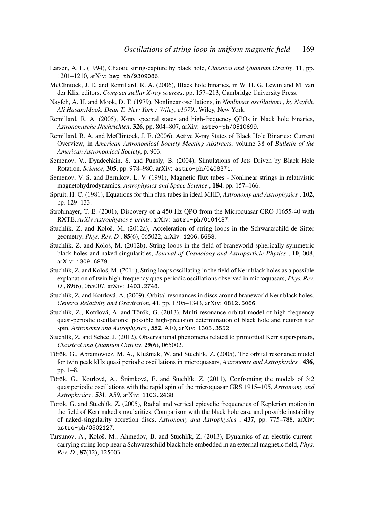- Larsen, A. L. (1994), Chaotic string-capture by black hole, *Classical and Quantum Gravity*, 11, pp. 1201–1210, arXiv: hep-th/9309086.
- McClintock, J. E. and Remillard, R. A. (2006), Black hole binaries, in W. H. G. Lewin and M. van der Klis, editors, *Compact stellar X-ray sources*, pp. 157–213, Cambridge University Press.
- Nayfeh, A. H. and Mook, D. T. (1979), Nonlinear oscillations, in *Nonlinear oscillations , by Nayfeh, Ali Hasan;Mook, Dean T. New York : Wiley, c1979.*, Wiley, New York.
- Remillard, R. A. (2005), X-ray spectral states and high-frequency QPOs in black hole binaries, *Astronomische Nachrichten*, 326, pp. 804–807, arXiv: astro-ph/0510699.
- Remillard, R. A. and McClintock, J. E. (2006), Active X-ray States of Black Hole Binaries: Current Overview, in *American Astronomical Society Meeting Abstracts*, volume 38 of *Bulletin of the American Astronomical Society*, p. 903.
- Semenov, V., Dyadechkin, S. and Punsly, B. (2004), Simulations of Jets Driven by Black Hole Rotation, *Science*, 305, pp. 978–980, arXiv: astro-ph/0408371.
- Semenov, V. S. and Bernikov, L. V. (1991), Magnetic flux tubes Nonlinear strings in relativistic magnetohydrodynamics, *Astrophysics and Space Science* , 184, pp. 157–166.
- Spruit, H. C. (1981), Equations for thin flux tubes in ideal MHD, *Astronomy and Astrophysics* , 102, pp. 129–133.
- Strohmayer, T. E. (2001), Discovery of a 450 Hz QPO from the Microquasar GRO J1655-40 with RXTE, *ArXiv Astrophysics e-prints*, arXiv: astro-ph/0104487.
- Stuchlík, Z. and Kološ, M. (2012a), Acceleration of string loops in the Schwarzschild-de Sitter geometry, *Phys. Rev. D* , 85(6), 065022, arXiv: 1206.5658.
- Stuchlík, Z. and Kološ, M. (2012b), String loops in the field of braneworld spherically symmetric black holes and naked singularities, *Journal of Cosmology and Astroparticle Physics* , 10, 008, arXiv: 1309.6879.
- Stuchlík, Z. and Kološ, M. (2014), String loops oscillating in the field of Kerr black holes as a possible explanation of twin high-frequency quasiperiodic oscillations observed in microquasars, *Phys. Rev. D* , 89(6), 065007, arXiv: 1403.2748.
- Stuchlík, Z. and Kotrlová, A. (2009), Orbital resonances in discs around braneworld Kerr black holes, *General Relativity and Gravitation*, 41, pp. 1305–1343, arXiv: 0812.5066.
- Stuchlík, Z., Kotrlová, A. and Török, G. (2013), Multi-resonance orbital model of high-frequency quasi-periodic oscillations: possible high-precision determination of black hole and neutron star spin, *Astronomy and Astrophysics* , 552, A10, arXiv: 1305.3552.
- Stuchlík, Z. and Schee, J. (2012), Observational phenomena related to primordial Kerr superspinars, *Classical and Quantum Gravity*, 29(6), 065002.
- Török, G., Abramowicz, M. A., Kluźniak, W. and Stuchlík, Z. (2005), The orbital resonance model for twin peak kHz quasi periodic oscillations in microquasars, *Astronomy and Astrophysics* , 436, pp. 1–8.
- Török, G., Kotrlová, A., Šrámková, E. and Stuchlík, Z. (2011), Confronting the models of 3:2 quasiperiodic oscillations with the rapid spin of the microquasar GRS 1915+105, *Astronomy and Astrophysics* , 531, A59, arXiv: 1103.2438.
- Török, G. and Stuchlík, Z. (2005), Radial and vertical epicyclic frequencies of Keplerian motion in the field of Kerr naked singularities. Comparison with the black hole case and possible instability of naked-singularity accretion discs, *Astronomy and Astrophysics* , 437, pp. 775–788, arXiv: astro-ph/0502127.
- Tursunov, A., Kološ, M., Ahmedov, B. and Stuchlík, Z. (2013), Dynamics of an electric currentcarrying string loop near a Schwarzschild black hole embedded in an external magnetic field, *Phys. Rev. D* , 87(12), 125003.